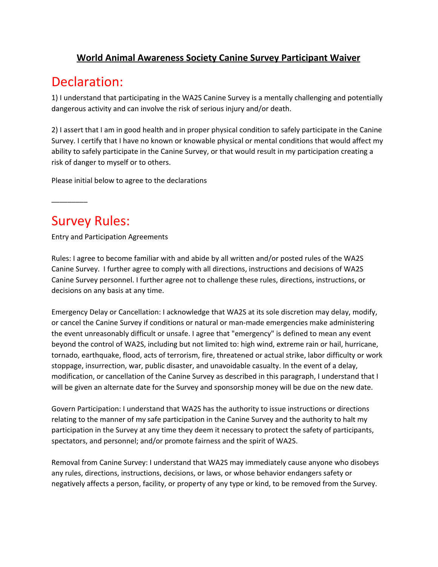### **World Animal Awareness Society Canine Survey Participant Waiver**

## Declaration:

1) I understand that participating in the WA2S Canine Survey is a mentally challenging and potentially dangerous activity and can involve the risk of serious injury and/or death.

2) I assert that I am in good health and in proper physical condition to safely participate in the Canine Survey. I certify that I have no known or knowable physical or mental conditions that would affect my ability to safely participate in the Canine Survey, or that would result in my participation creating a risk of danger to myself or to others.

Please initial below to agree to the declarations

## Survey Rules:

\_\_\_\_\_\_\_\_\_

Entry and Participation Agreements

Rules: I agree to become familiar with and abide by all written and/or posted rules of the WA2S Canine Survey. I further agree to comply with all directions, instructions and decisions of WA2S Canine Survey personnel. I further agree not to challenge these rules, directions, instructions, or decisions on any basis at any time.

Emergency Delay or Cancellation: I acknowledge that WA2S at its sole discretion may delay, modify, or cancel the Canine Survey if conditions or natural or man-made emergencies make administering the event unreasonably difficult or unsafe. I agree that "emergency" is defined to mean any event beyond the control of WA2S, including but not limited to: high wind, extreme rain or hail, hurricane, tornado, earthquake, flood, acts of terrorism, fire, threatened or actual strike, labor difficulty or work stoppage, insurrection, war, public disaster, and unavoidable casualty. In the event of a delay, modification, or cancellation of the Canine Survey as described in this paragraph, I understand that I will be given an alternate date for the Survey and sponsorship money will be due on the new date.

Govern Participation: I understand that WA2S has the authority to issue instructions or directions relating to the manner of my safe participation in the Canine Survey and the authority to halt my participation in the Survey at any time they deem it necessary to protect the safety of participants, spectators, and personnel; and/or promote fairness and the spirit of WA2S.

Removal from Canine Survey: I understand that WA2S may immediately cause anyone who disobeys any rules, directions, instructions, decisions, or laws, or whose behavior endangers safety or negatively affects a person, facility, or property of any type or kind, to be removed from the Survey.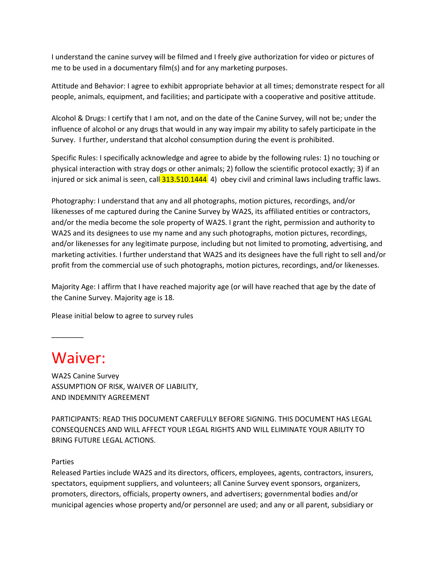I understand the canine survey will be filmed and I freely give authorization for video or pictures of me to be used in a documentary film(s) and for any marketing purposes.

Attitude and Behavior: I agree to exhibit appropriate behavior at all times; demonstrate respect for all people, animals, equipment, and facilities; and participate with a cooperative and positive attitude.

Alcohol & Drugs: I certify that I am not, and on the date of the Canine Survey, will not be; under the influence of alcohol or any drugs that would in any way impair my ability to safely participate in the Survey. I further, understand that alcohol consumption during the event is prohibited.

Specific Rules: I specifically acknowledge and agree to abide by the following rules: 1) no touching or physical interaction with stray dogs or other animals; 2) follow the scientific protocol exactly; 3) if an injured or sick animal is seen, call  $313.510.1444$  4) obey civil and criminal laws including traffic laws.

Photography: I understand that any and all photographs, motion pictures, recordings, and/or likenesses of me captured during the Canine Survey by WA2S, its affiliated entities or contractors, and/or the media become the sole property of WA2S. I grant the right, permission and authority to WA2S and its designees to use my name and any such photographs, motion pictures, recordings, and/or likenesses for any legitimate purpose, including but not limited to promoting, advertising, and marketing activities. I further understand that WA2S and its designees have the full right to sell and/or profit from the commercial use of such photographs, motion pictures, recordings, and/or likenesses.

Majority Age: I affirm that I have reached majority age (or will have reached that age by the date of the Canine Survey. Majority age is 18.

Please initial below to agree to survey rules

# Waiver:

\_\_\_\_\_\_\_\_

WA2S Canine Survey ASSUMPTION OF RISK, WAIVER OF LIABILITY, AND INDEMNITY AGREEMENT

PARTICIPANTS: READ THIS DOCUMENT CAREFULLY BEFORE SIGNING. THIS DOCUMENT HAS LEGAL CONSEQUENCES AND WILL AFFECT YOUR LEGAL RIGHTS AND WILL ELIMINATE YOUR ABILITY TO BRING FUTURE LEGAL ACTIONS.

#### Parties

Released Parties include WA2S and its directors, officers, employees, agents, contractors, insurers, spectators, equipment suppliers, and volunteers; all Canine Survey event sponsors, organizers, promoters, directors, officials, property owners, and advertisers; governmental bodies and/or municipal agencies whose property and/or personnel are used; and any or all parent, subsidiary or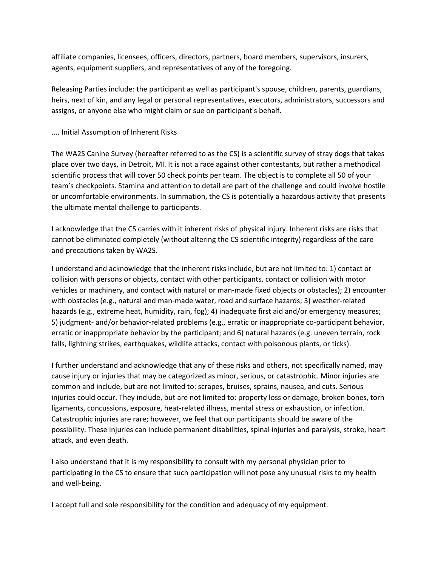affiliate companies, licensees, officers, directors, partners, board members, supervisors, insurers, agents, equipment suppliers, and representatives of any of the foregoing.

Releasing Parties include: the participant as well as participant's spouse, children, parents, guardians, heirs, next of kin, and any legal or personal representatives, executors, administrators, successors and assigns, or anyone else who might claim or sue on participant's behalf.

#### .... Initial Assumption of Inherent Risks

The WA2S Canine Survey (hereafter referred to as the CS) is a scientific survey of stray dogs that takes place over two days, in Detroit, MI. It is not a race against other contestants, but rather a methodical scientific process that will cover 50 check points per team. The object is to complete all 50 of your team's checkpoints. Stamina and attention to detail are part of the challenge and could involve hostile or uncomfortable environments. In summation, the CS is potentially a hazardous activity that presents the ultimate mental challenge to participants.

I acknowledge that the CS carries with it inherent risks of physical injury. Inherent risks are risks that cannot be eliminated completely (without altering the CS scientific integrity) regardless of the care and precautions taken by WA2S.

I understand and acknowledge that the inherent risks include, but are not limited to: 1) contact or collision with persons or objects, contact with other participants, contact or collision with motor vehicles or machinery, and contact with natural or man-made fixed objects or obstacles); 2) encounter with obstacles (e.g., natural and man-made water, road and surface hazards; 3) weather-related hazards (e.g., extreme heat, humidity, rain, fog); 4) inadequate first aid and/or emergency measures; 5) judgment- and/or behavior-related problems (e.g., erratic or inappropriate co-participant behavior, erratic or inappropriate behavior by the participant; and 6) natural hazards (e.g. uneven terrain, rock falls, lightning strikes, earthquakes, wildlife attacks, contact with poisonous plants, or ticks).

I further understand and acknowledge that any of these risks and others, not specifically named, may cause injury or injuries that may be categorized as minor, serious, or catastrophic. Minor injuries are common and include, but are not limited to: scrapes, bruises, sprains, nausea, and cuts. Serious injuries could occur. They include, but are not limited to: property loss or damage, broken bones, torn ligaments, concussions, exposure, heat-related illness, mental stress or exhaustion, or infection. Catastrophic injuries are rare; however, we feel that our participants should be aware of the possibility. These injuries can include permanent disabilities, spinal injuries and paralysis, stroke, heart attack, and even death.

I also understand that it is my responsibility to consult with my personal physician prior to participating in the CS to ensure that such participation will not pose any unusual risks to my health and well-being.

I accept full and sole responsibility for the condition and adequacy of my equipment.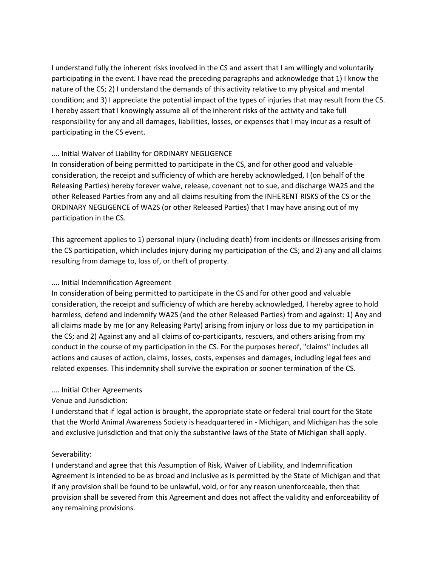I understand fully the inherent risks involved in the CS and assert that I am willingly and voluntarily participating in the event. I have read the preceding paragraphs and acknowledge that 1) I know the nature of the CS; 2) I understand the demands of this activity relative to my physical and mental condition; and 3) I appreciate the potential impact of the types of injuries that may result from the CS. I hereby assert that I knowingly assume all of the inherent risks of the activity and take full responsibility for any and all damages, liabilities, losses, or expenses that I may incur as a result of participating in the CS event.

#### .... Initial Waiver of Liability for ORDINARY NEGLIGENCE

In consideration of being permitted to participate in the CS, and for other good and valuable consideration, the receipt and sufficiency of which are hereby acknowledged, I (on behalf of the Releasing Parties) hereby forever waive, release, covenant not to sue, and discharge WA2S and the other Released Parties from any and all claims resulting from the INHERENT RISKS of the CS or the ORDINARY NEGLIGENCE of WA2S (or other Released Parties) that I may have arising out of my participation in the CS.

This agreement applies to 1) personal injury (including death) from incidents or illnesses arising from the CS participation, which includes injury during my participation of the CS; and 2) any and all claims resulting from damage to, loss of, or theft of property.

#### .... Initial Indemnification Agreement

In consideration of being permitted to participate in the CS and for other good and valuable consideration, the receipt and sufficiency of which are hereby acknowledged, I hereby agree to hold harmless, defend and indemnify WA2S (and the other Released Parties) from and against: 1) Any and all claims made by me (or any Releasing Party) arising from injury or loss due to my participation in the CS; and 2) Against any and all claims of co-participants, rescuers, and others arising from my conduct in the course of my participation in the CS. For the purposes hereof, "claims" includes all actions and causes of action, claims, losses, costs, expenses and damages, including legal fees and related expenses. This indemnity shall survive the expiration or sooner termination of the CS.

#### .... Initial Other Agreements

#### Venue and Jurisdiction:

I understand that if legal action is brought, the appropriate state or federal trial court for the State that the World Animal Awareness Society is headquartered in - Michigan, and Michigan has the sole and exclusive jurisdiction and that only the substantive laws of the State of Michigan shall apply.

#### Severability:

I understand and agree that this Assumption of Risk, Waiver of Liability, and Indemnification Agreement is intended to be as broad and inclusive as is permitted by the State of Michigan and that if any provision shall be found to be unlawful, void, or for any reason unenforceable, then that provision shall be severed from this Agreement and does not affect the validity and enforceability of any remaining provisions.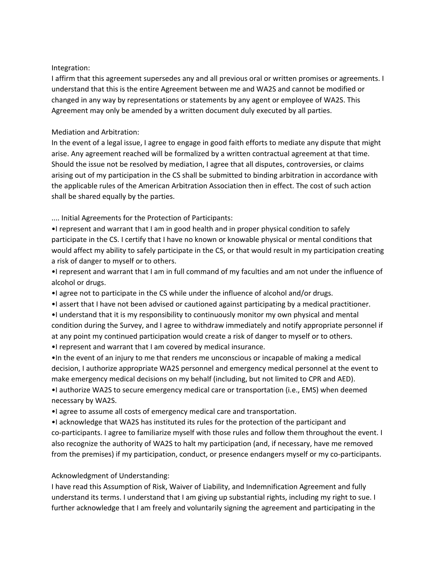#### Integration:

I affirm that this agreement supersedes any and all previous oral or written promises or agreements. I understand that this is the entire Agreement between me and WA2S and cannot be modified or changed in any way by representations or statements by any agent or employee of WA2S. This Agreement may only be amended by a written document duly executed by all parties.

#### Mediation and Arbitration:

In the event of a legal issue, I agree to engage in good faith efforts to mediate any dispute that might arise. Any agreement reached will be formalized by a written contractual agreement at that time. Should the issue not be resolved by mediation, I agree that all disputes, controversies, or claims arising out of my participation in the CS shall be submitted to binding arbitration in accordance with the applicable rules of the American Arbitration Association then in effect. The cost of such action shall be shared equally by the parties.

.... Initial Agreements for the Protection of Participants:

•I represent and warrant that I am in good health and in proper physical condition to safely participate in the CS. I certify that I have no known or knowable physical or mental conditions that would affect my ability to safely participate in the CS, or that would result in my participation creating a risk of danger to myself or to others.

•I represent and warrant that I am in full command of my faculties and am not under the influence of alcohol or drugs.

- •I agree not to participate in the CS while under the influence of alcohol and/or drugs.
- •I assert that I have not been advised or cautioned against participating by a medical practitioner.

•I understand that it is my responsibility to continuously monitor my own physical and mental condition during the Survey, and I agree to withdraw immediately and notify appropriate personnel if at any point my continued participation would create a risk of danger to myself or to others.

•I represent and warrant that I am covered by medical insurance.

•In the event of an injury to me that renders me unconscious or incapable of making a medical decision, I authorize appropriate WA2S personnel and emergency medical personnel at the event to make emergency medical decisions on my behalf (including, but not limited to CPR and AED). •I authorize WA2S to secure emergency medical care or transportation (i.e., EMS) when deemed necessary by WA2S.

•I agree to assume all costs of emergency medical care and transportation.

•I acknowledge that WA2S has instituted its rules for the protection of the participant and co-participants. I agree to familiarize myself with those rules and follow them throughout the event. I also recognize the authority of WA2S to halt my participation (and, if necessary, have me removed from the premises) if my participation, conduct, or presence endangers myself or my co-participants.

#### Acknowledgment of Understanding:

I have read this Assumption of Risk, Waiver of Liability, and Indemnification Agreement and fully understand its terms. I understand that I am giving up substantial rights, including my right to sue. I further acknowledge that I am freely and voluntarily signing the agreement and participating in the